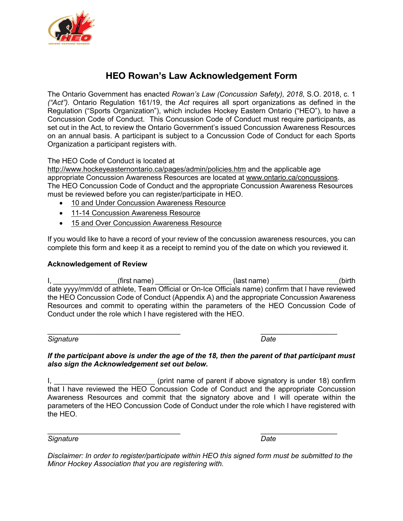

# **HEO Rowan's Law Acknowledgement Form**

The Ontario Government has enacted *Rowan's Law (Concussion Safety), 2018*, S.O. 2018, c. 1 *("Act").* Ontario Regulation 161/19, the *Act* requires all sport organizations as defined in the Regulation ("Sports Organization"), which includes Hockey Eastern Ontario ("HEO"), to have a Concussion Code of Conduct. This Concussion Code of Conduct must require participants, as set out in the Act, to review the Ontario Government's issued Concussion Awareness Resources on an annual basis. A participant is subject to a Concussion Code of Conduct for each Sports Organization a participant registers with.

# The HEO Code of Conduct is located at

http://www.hockeyeasternontario.ca/pages/admin/policies.htm and the applicable age appropriate Concussion Awareness Resources are located at www.ontario.ca/concussions. The HEO Concussion Code of Conduct and the appropriate Concussion Awareness Resources must be reviewed before you can register/participate in HEO.

- 10 and Under Concussion Awareness Resource
- 11-14 Concussion Awareness Resource
- 15 and Over Concussion Awareness Resource

If you would like to have a record of your review of the concussion awareness resources, you can complete this form and keep it as a receipt to remind you of the date on which you reviewed it.

## **Acknowledgement of Review**

I, \_\_\_\_\_\_\_\_\_\_\_\_\_\_\_\_(first name) \_\_\_\_\_\_\_\_\_\_\_\_\_\_\_\_\_\_\_\_(last name) \_\_\_\_\_\_\_\_\_\_\_\_\_\_\_\_(birth date yyyy/mm/dd of athlete, Team Official or On-Ice Officials name) confirm that I have reviewed the HEO Concussion Code of Conduct (Appendix A) and the appropriate Concussion Awareness Resources and commit to operating within the parameters of the HEO Concussion Code of Conduct under the role which I have registered with the HEO.

*Signature Date*

### *If the participant above is under the age of the 18, then the parent of that participant must also sign the Acknowledgement set out below.*

I, \_\_\_\_\_\_\_\_\_\_\_\_\_\_\_\_\_\_\_\_\_\_\_\_\_\_\_\_\_\_\_\_(print name of parent if above signatory is under 18) confirm that I have reviewed the HEO Concussion Code of Conduct and the appropriate Concussion Awareness Resources and commit that the signatory above and I will operate within the parameters of the HEO Concussion Code of Conduct under the role which I have registered with the HEO.

*Signature Date*

*Disclaimer: In order to register/participate within HEO this signed form must be submitted to the Minor Hockey Association that you are registering with.*

\_\_\_\_\_\_\_\_\_\_\_\_\_\_\_\_\_\_\_\_\_\_\_\_\_\_\_\_\_\_\_\_\_ \_\_\_\_\_\_\_\_\_\_\_\_\_\_\_\_\_\_\_